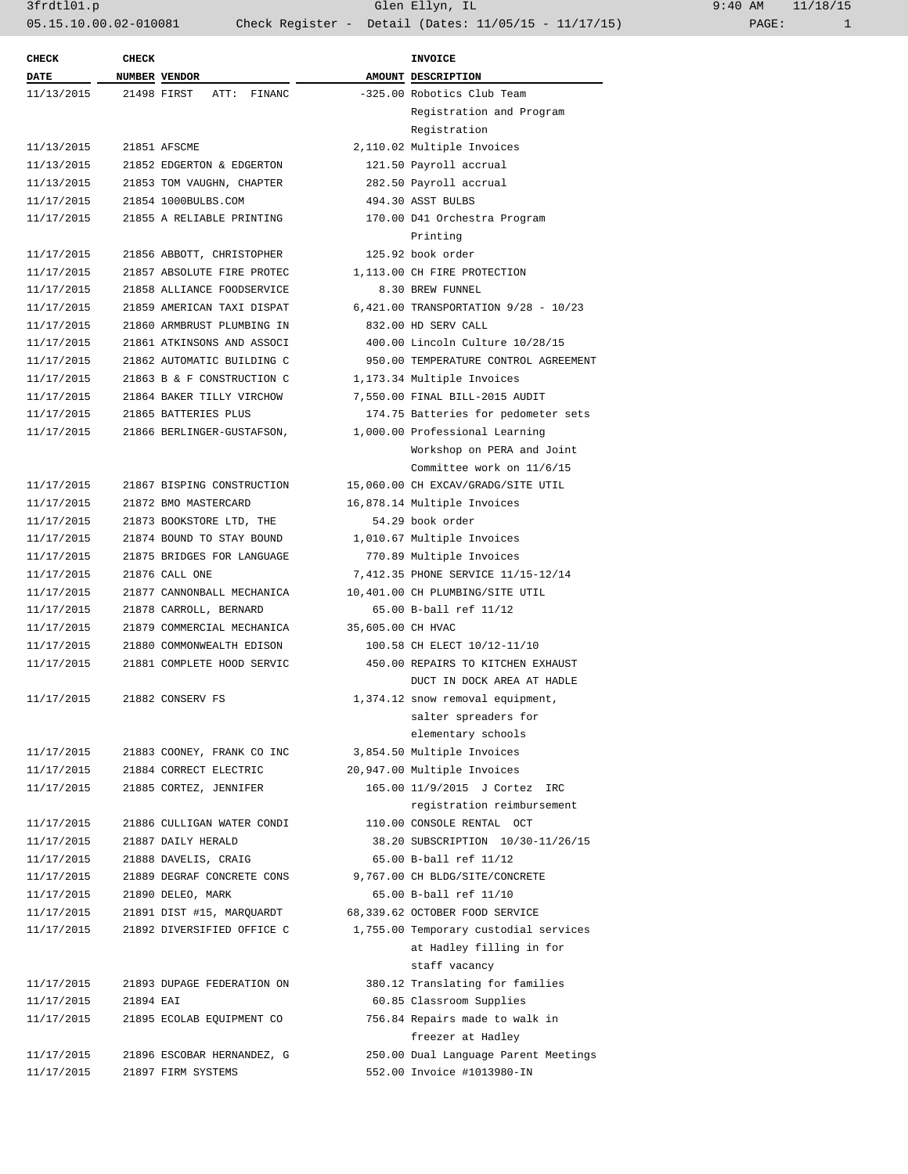3frdtl01.p Glen Ellyn, IL 9:40 AM 11/18/15 05.15.10.00.02-010081 Check Register - Detail (Dates: 11/05/15 - 11/17/15) PAGE: 1

| <b>CHECK</b> | <b>CHECK</b> |                               |                   | <b>INVOICE</b>                        |
|--------------|--------------|-------------------------------|-------------------|---------------------------------------|
| DATE         |              | NUMBER VENDOR                 |                   | AMOUNT DESCRIPTION                    |
| 11/13/2015   |              | 21498 FIRST<br>ATT:<br>FINANC |                   | -325.00 Robotics Club Team            |
|              |              |                               |                   | Registration and Program              |
|              |              |                               |                   | Registration                          |
| 11/13/2015   |              | 21851 AFSCME                  |                   | 2,110.02 Multiple Invoices            |
| 11/13/2015   |              | 21852 EDGERTON & EDGERTON     |                   | 121.50 Payroll accrual                |
| 11/13/2015   |              | 21853 TOM VAUGHN, CHAPTER     |                   | 282.50 Payroll accrual                |
| 11/17/2015   |              | 21854 1000BULBS.COM           |                   | 494.30 ASST BULBS                     |
| 11/17/2015   |              | 21855 A RELIABLE PRINTING     |                   | 170.00 D41 Orchestra Program          |
|              |              |                               |                   | Printing                              |
| 11/17/2015   |              | 21856 ABBOTT, CHRISTOPHER     |                   | 125.92 book order                     |
| 11/17/2015   |              | 21857 ABSOLUTE FIRE PROTEC    |                   | 1,113.00 CH FIRE PROTECTION           |
| 11/17/2015   |              | 21858 ALLIANCE FOODSERVICE    |                   | 8.30 BREW FUNNEL                      |
| 11/17/2015   |              | 21859 AMERICAN TAXI DISPAT    |                   | 6,421.00 TRANSPORTATION 9/28 - 10/23  |
| 11/17/2015   |              | 21860 ARMBRUST PLUMBING IN    |                   | 832.00 HD SERV CALL                   |
| 11/17/2015   |              | 21861 ATKINSONS AND ASSOCI    |                   | 400.00 Lincoln Culture 10/28/15       |
| 11/17/2015   |              | 21862 AUTOMATIC BUILDING C    |                   | 950.00 TEMPERATURE CONTROL AGREEMENT  |
| 11/17/2015   |              | 21863 B & F CONSTRUCTION C    |                   | 1,173.34 Multiple Invoices            |
| 11/17/2015   |              | 21864 BAKER TILLY VIRCHOW     |                   | 7,550.00 FINAL BILL-2015 AUDIT        |
| 11/17/2015   |              | 21865 BATTERIES PLUS          |                   | 174.75 Batteries for pedometer sets   |
| 11/17/2015   |              | 21866 BERLINGER-GUSTAFSON,    |                   | 1,000.00 Professional Learning        |
|              |              |                               |                   | Workshop on PERA and Joint            |
|              |              |                               |                   | Committee work on 11/6/15             |
| 11/17/2015   |              | 21867 BISPING CONSTRUCTION    |                   | 15,060.00 CH EXCAV/GRADG/SITE UTIL    |
| 11/17/2015   |              | 21872 BMO MASTERCARD          |                   | 16,878.14 Multiple Invoices           |
| 11/17/2015   |              | 21873 BOOKSTORE LTD, THE      |                   | 54.29 book order                      |
| 11/17/2015   |              | 21874 BOUND TO STAY BOUND     |                   | 1,010.67 Multiple Invoices            |
| 11/17/2015   |              | 21875 BRIDGES FOR LANGUAGE    |                   | 770.89 Multiple Invoices              |
| 11/17/2015   |              | 21876 CALL ONE                |                   | 7,412.35 PHONE SERVICE 11/15-12/14    |
| 11/17/2015   |              | 21877 CANNONBALL MECHANICA    |                   | 10,401.00 CH PLUMBING/SITE UTIL       |
| 11/17/2015   |              | 21878 CARROLL, BERNARD        |                   | 65.00 B-ball ref 11/12                |
| 11/17/2015   |              | 21879 COMMERCIAL MECHANICA    | 35,605.00 CH HVAC |                                       |
| 11/17/2015   |              | 21880 COMMONWEALTH EDISON     |                   | 100.58 CH ELECT 10/12-11/10           |
| 11/17/2015   |              | 21881 COMPLETE HOOD SERVIC    |                   | 450.00 REPAIRS TO KITCHEN EXHAUST     |
|              |              |                               |                   | DUCT IN DOCK AREA AT HADLE            |
| 11/17/2015   |              | 21882 CONSERV FS              |                   | 1,374.12 snow removal equipment,      |
|              |              |                               |                   | salter spreaders for                  |
|              |              |                               |                   | elementary schools                    |
| 11/17/2015   |              | 21883 COONEY, FRANK CO INC    |                   | 3,854.50 Multiple Invoices            |
| 11/17/2015   |              | 21884 CORRECT ELECTRIC        |                   | 20,947.00 Multiple Invoices           |
| 11/17/2015   |              | 21885 CORTEZ, JENNIFER        |                   | 165.00 11/9/2015 J Cortez IRC         |
|              |              |                               |                   | registration reimbursement            |
| 11/17/2015   |              | 21886 CULLIGAN WATER CONDI    |                   | 110.00 CONSOLE RENTAL OCT             |
| 11/17/2015   |              | 21887 DAILY HERALD            |                   | 38.20 SUBSCRIPTION 10/30-11/26/15     |
| 11/17/2015   |              | 21888 DAVELIS, CRAIG          |                   | 65.00 B-ball ref 11/12                |
| 11/17/2015   |              | 21889 DEGRAF CONCRETE CONS    |                   | 9,767.00 CH BLDG/SITE/CONCRETE        |
| 11/17/2015   |              | 21890 DELEO, MARK             |                   | 65.00 B-ball ref 11/10                |
| 11/17/2015   |              | 21891 DIST #15, MARQUARDT     |                   | 68,339.62 OCTOBER FOOD SERVICE        |
| 11/17/2015   |              | 21892 DIVERSIFIED OFFICE C    |                   | 1,755.00 Temporary custodial services |
|              |              |                               |                   | at Hadley filling in for              |
|              |              |                               |                   | staff vacancy                         |
| 11/17/2015   |              | 21893 DUPAGE FEDERATION ON    |                   | 380.12 Translating for families       |
| 11/17/2015   | 21894 EAI    |                               |                   | 60.85 Classroom Supplies              |
| 11/17/2015   |              | 21895 ECOLAB EQUIPMENT CO     |                   | 756.84 Repairs made to walk in        |
|              |              |                               |                   | freezer at Hadley                     |
| 11/17/2015   |              | 21896 ESCOBAR HERNANDEZ, G    |                   | 250.00 Dual Language Parent Meetings  |
| 11/17/2015   |              | 21897 FIRM SYSTEMS            |                   | 552.00 Invoice #1013980-IN            |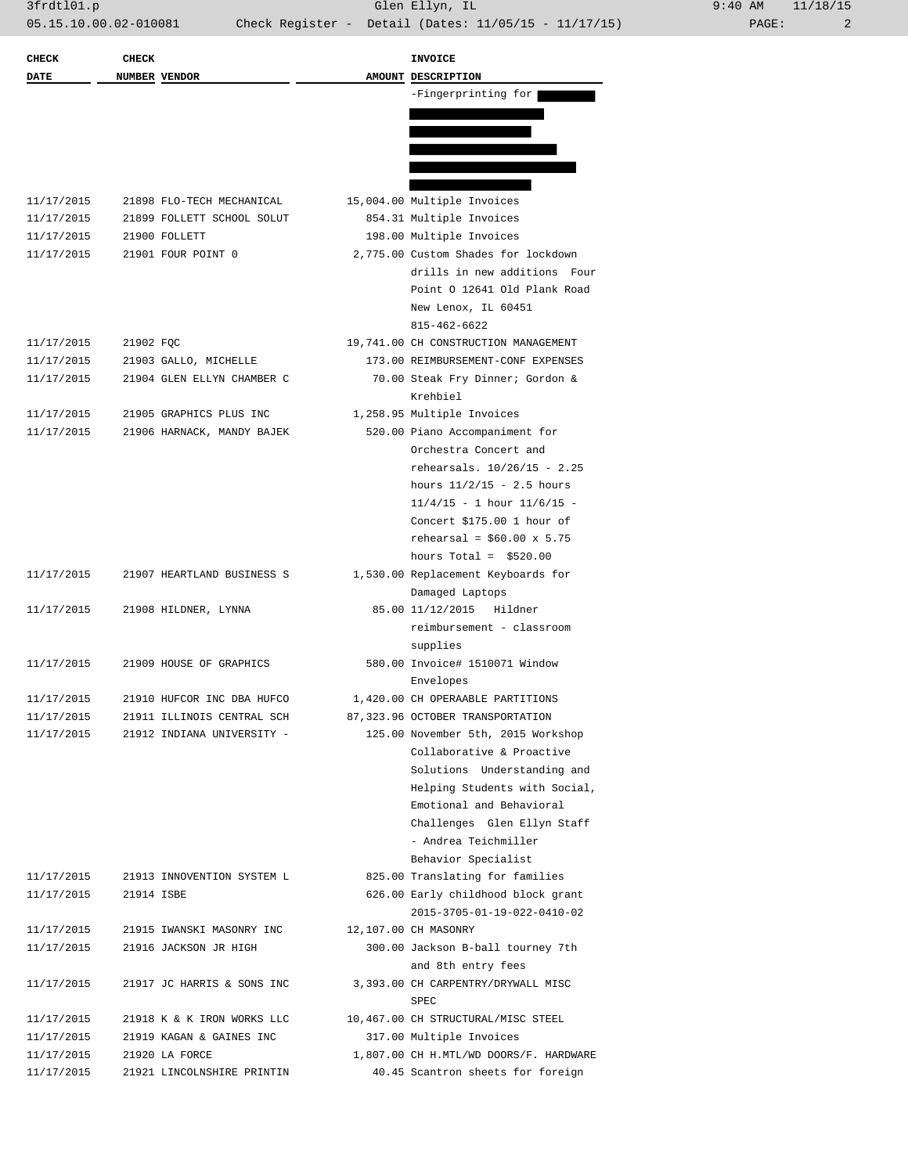| <b>CHECK</b> | <b>CHECK</b>  |                            | INVOICE                                |
|--------------|---------------|----------------------------|----------------------------------------|
| DATE         | NUMBER VENDOR |                            | AMOUNT DESCRIPTION                     |
|              |               |                            | -Fingerprinting for                    |
|              |               |                            |                                        |
|              |               |                            |                                        |
|              |               |                            |                                        |
|              |               |                            |                                        |
|              |               |                            |                                        |
| 11/17/2015   |               | 21898 FLO-TECH MECHANICAL  | 15,004.00 Multiple Invoices            |
| 11/17/2015   |               | 21899 FOLLETT SCHOOL SOLUT | 854.31 Multiple Invoices               |
| 11/17/2015   |               | 21900 FOLLETT              | 198.00 Multiple Invoices               |
| 11/17/2015   |               | 21901 FOUR POINT 0         | 2,775.00 Custom Shades for lockdown    |
|              |               |                            | drills in new additions Four           |
|              |               |                            | Point 0 12641 Old Plank Road           |
|              |               |                            |                                        |
|              |               |                            | New Lenox, IL 60451                    |
|              |               |                            | 815-462-6622                           |
| 11/17/2015   | 21902 FQC     |                            | 19,741.00 CH CONSTRUCTION MANAGEMENT   |
| 11/17/2015   |               | 21903 GALLO, MICHELLE      | 173.00 REIMBURSEMENT-CONF EXPENSES     |
| 11/17/2015   |               | 21904 GLEN ELLYN CHAMBER C | 70.00 Steak Fry Dinner; Gordon &       |
|              |               |                            | Krehbiel                               |
| 11/17/2015   |               | 21905 GRAPHICS PLUS INC    | 1,258.95 Multiple Invoices             |
| 11/17/2015   |               | 21906 HARNACK, MANDY BAJEK | 520.00 Piano Accompaniment for         |
|              |               |                            | Orchestra Concert and                  |
|              |               |                            | rehearsals. 10/26/15 - 2.25            |
|              |               |                            | hours $11/2/15 - 2.5$ hours            |
|              |               |                            | $11/4/15 - 1$ hour $11/6/15 -$         |
|              |               |                            | Concert \$175.00 1 hour of             |
|              |               |                            | rehearsal = $$60.00 \times 5.75$       |
|              |               |                            | hours Total = $$520.00$                |
| 11/17/2015   |               | 21907 HEARTLAND BUSINESS S | 1,530.00 Replacement Keyboards for     |
|              |               |                            | Damaged Laptops                        |
| 11/17/2015   |               | 21908 HILDNER, LYNNA       | 85.00 11/12/2015<br>Hildner            |
|              |               |                            | reimbursement - classroom              |
|              |               |                            | supplies                               |
| 11/17/2015   |               | 21909 HOUSE OF GRAPHICS    | 580.00 Invoice# 1510071 Window         |
|              |               |                            | Envelopes                              |
| 11/17/2015   |               | 21910 HUFCOR INC DBA HUFCO | 1,420.00 CH OPERAABLE PARTITIONS       |
| 11/17/2015   |               | 21911 ILLINOIS CENTRAL SCH | 87,323.96 OCTOBER TRANSPORTATION       |
| 11/17/2015   |               | 21912 INDIANA UNIVERSITY - | 125.00 November 5th, 2015 Workshop     |
|              |               |                            | Collaborative & Proactive              |
|              |               |                            | Solutions Understanding and            |
|              |               |                            | Helping Students with Social,          |
|              |               |                            | Emotional and Behavioral               |
|              |               |                            | Challenges Glen Ellyn Staff            |
|              |               |                            | - Andrea Teichmiller                   |
|              |               |                            | Behavior Specialist                    |
| 11/17/2015   |               | 21913 INNOVENTION SYSTEM L | 825.00 Translating for families        |
| 11/17/2015   | 21914 ISBE    |                            | 626.00 Early childhood block grant     |
|              |               |                            | 2015-3705-01-19-022-0410-02            |
| 11/17/2015   |               | 21915 IWANSKI MASONRY INC  | 12,107.00 CH MASONRY                   |
| 11/17/2015   |               | 21916 JACKSON JR HIGH      | 300.00 Jackson B-ball tourney 7th      |
|              |               |                            | and 8th entry fees                     |
| 11/17/2015   |               | 21917 JC HARRIS & SONS INC | 3,393.00 CH CARPENTRY/DRYWALL MISC     |
|              |               |                            | SPEC                                   |
| 11/17/2015   |               | 21918 K & K IRON WORKS LLC | 10,467.00 CH STRUCTURAL/MISC STEEL     |
| 11/17/2015   |               | 21919 KAGAN & GAINES INC   | 317.00 Multiple Invoices               |
| 11/17/2015   |               | 21920 LA FORCE             | 1,807.00 CH H.MTL/WD DOORS/F. HARDWARE |
| 11/17/2015   |               | 21921 LINCOLNSHIRE PRINTIN | 40.45 Scantron sheets for foreign      |
|              |               |                            |                                        |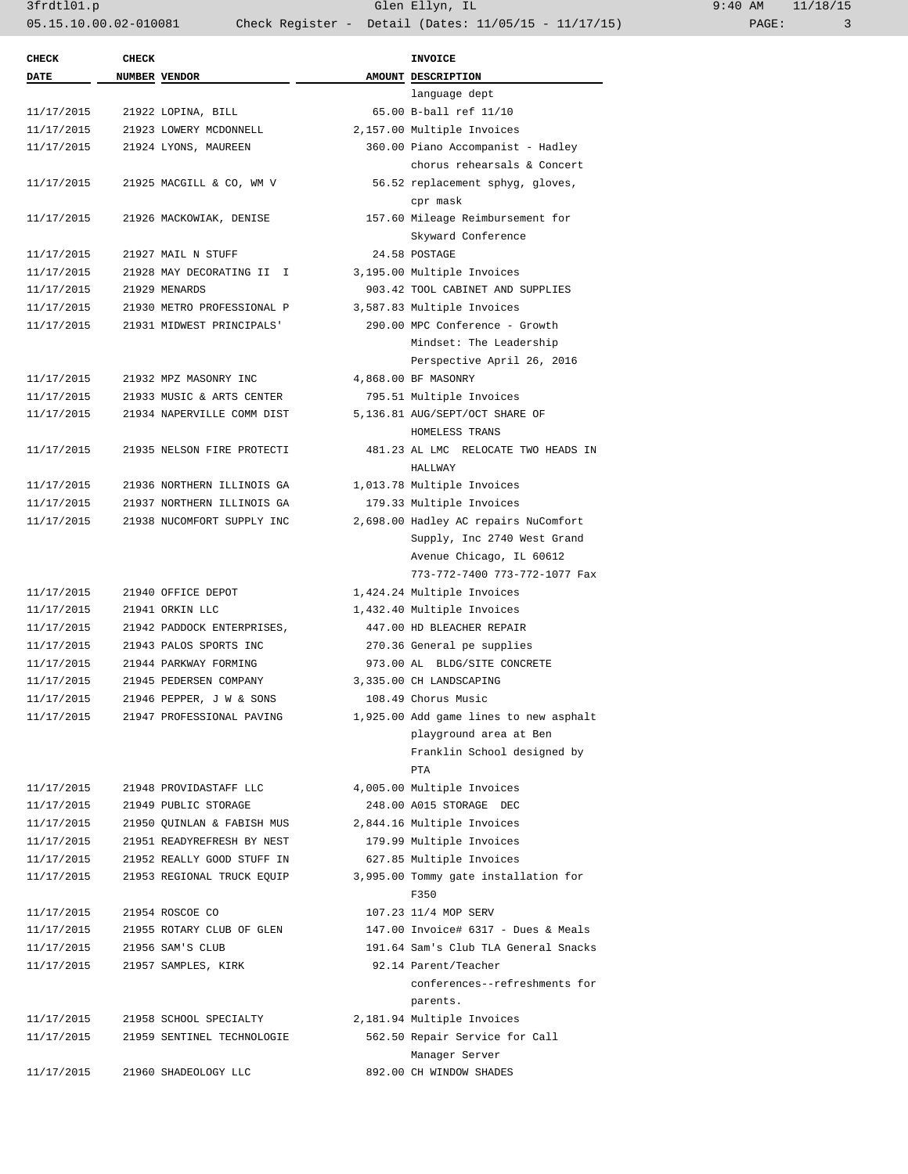3frdtl01.p Glen Ellyn, IL 9:40 AM 11/18/15 05.15.10.00.02-010081 Check Register - Detail (Dates: 11/05/15 - 11/17/15) PAGE: 3

| <b>CHECK</b> | <b>CHECK</b> |                            | <b>INVOICE</b>                         |
|--------------|--------------|----------------------------|----------------------------------------|
| <b>DATE</b>  |              | NUMBER VENDOR              | AMOUNT DESCRIPTION                     |
|              |              |                            | language dept                          |
| 11/17/2015   |              | 21922 LOPINA, BILL         | 65.00 B-ball ref 11/10                 |
| 11/17/2015   |              | 21923 LOWERY MCDONNELL     | 2,157.00 Multiple Invoices             |
| 11/17/2015   |              | 21924 LYONS, MAUREEN       | 360.00 Piano Accompanist - Hadley      |
|              |              |                            | chorus rehearsals & Concert            |
| 11/17/2015   |              | 21925 MACGILL & CO, WM V   | 56.52 replacement sphyg, gloves,       |
|              |              |                            | cpr mask                               |
| 11/17/2015   |              | 21926 MACKOWIAK, DENISE    | 157.60 Mileage Reimbursement for       |
|              |              |                            | Skyward Conference                     |
| 11/17/2015   |              | 21927 MAIL N STUFF         | 24.58 POSTAGE                          |
| 11/17/2015   |              | 21928 MAY DECORATING II I  | 3,195.00 Multiple Invoices             |
| 11/17/2015   |              | 21929 MENARDS              | 903.42 TOOL CABINET AND SUPPLIES       |
| 11/17/2015   |              | 21930 METRO PROFESSIONAL P | 3,587.83 Multiple Invoices             |
| 11/17/2015   |              | 21931 MIDWEST PRINCIPALS'  | 290.00 MPC Conference - Growth         |
|              |              |                            | Mindset: The Leadership                |
|              |              |                            | Perspective April 26, 2016             |
| 11/17/2015   |              | 21932 MPZ MASONRY INC      | 4,868.00 BF MASONRY                    |
| 11/17/2015   |              | 21933 MUSIC & ARTS CENTER  | 795.51 Multiple Invoices               |
| 11/17/2015   |              | 21934 NAPERVILLE COMM DIST | 5,136.81 AUG/SEPT/OCT SHARE OF         |
|              |              |                            | HOMELESS TRANS                         |
| 11/17/2015   |              | 21935 NELSON FIRE PROTECTI | 481.23 AL LMC RELOCATE TWO HEADS IN    |
|              |              |                            | HALLWAY                                |
| 11/17/2015   |              | 21936 NORTHERN ILLINOIS GA | 1,013.78 Multiple Invoices             |
|              |              |                            |                                        |
| 11/17/2015   |              | 21937 NORTHERN ILLINOIS GA | 179.33 Multiple Invoices               |
| 11/17/2015   |              | 21938 NUCOMFORT SUPPLY INC | 2,698.00 Hadley AC repairs NuComfort   |
|              |              |                            | Supply, Inc 2740 West Grand            |
|              |              |                            | Avenue Chicago, IL 60612               |
|              |              |                            | 773-772-7400 773-772-1077 Fax          |
| 11/17/2015   |              | 21940 OFFICE DEPOT         | 1,424.24 Multiple Invoices             |
| 11/17/2015   |              | 21941 ORKIN LLC            | 1,432.40 Multiple Invoices             |
| 11/17/2015   |              | 21942 PADDOCK ENTERPRISES, | 447.00 HD BLEACHER REPAIR              |
| 11/17/2015   |              | 21943 PALOS SPORTS INC     | 270.36 General pe supplies             |
| 11/17/2015   |              | 21944 PARKWAY FORMING      | 973.00 AL BLDG/SITE CONCRETE           |
| 11/17/2015   |              | 21945 PEDERSEN COMPANY     | 3,335.00 CH LANDSCAPING                |
| 11/17/2015   |              | 21946 PEPPER, J W & SONS   | 108.49 Chorus Music                    |
| 11/17/2015   |              | 21947 PROFESSIONAL PAVING  | 1,925.00 Add game lines to new asphalt |
|              |              |                            | playground area at Ben                 |
|              |              |                            | Franklin School designed by            |
|              |              |                            | PTA                                    |
| 11/17/2015   |              | 21948 PROVIDASTAFF LLC     | 4,005.00 Multiple Invoices             |
| 11/17/2015   |              | 21949 PUBLIC STORAGE       | 248.00 A015 STORAGE DEC                |
| 11/17/2015   |              | 21950 QUINLAN & FABISH MUS | 2,844.16 Multiple Invoices             |
| 11/17/2015   |              | 21951 READYREFRESH BY NEST | 179.99 Multiple Invoices               |
| 11/17/2015   |              | 21952 REALLY GOOD STUFF IN | 627.85 Multiple Invoices               |
| 11/17/2015   |              | 21953 REGIONAL TRUCK EQUIP | 3,995.00 Tommy gate installation for   |
|              |              |                            | F350                                   |
| 11/17/2015   |              | 21954 ROSCOE CO            | 107.23 11/4 MOP SERV                   |
| 11/17/2015   |              | 21955 ROTARY CLUB OF GLEN  | 147.00 Invoice# 6317 - Dues & Meals    |
| 11/17/2015   |              | 21956 SAM'S CLUB           | 191.64 Sam's Club TLA General Snacks   |
| 11/17/2015   |              | 21957 SAMPLES, KIRK        | 92.14 Parent/Teacher                   |
|              |              |                            | conferences--refreshments for          |
|              |              |                            | parents.                               |
| 11/17/2015   |              | 21958 SCHOOL SPECIALTY     | 2,181.94 Multiple Invoices             |
| 11/17/2015   |              | 21959 SENTINEL TECHNOLOGIE | 562.50 Repair Service for Call         |
|              |              |                            | Manager Server                         |
| 11/17/2015   |              | 21960 SHADEOLOGY LLC       | 892.00 CH WINDOW SHADES                |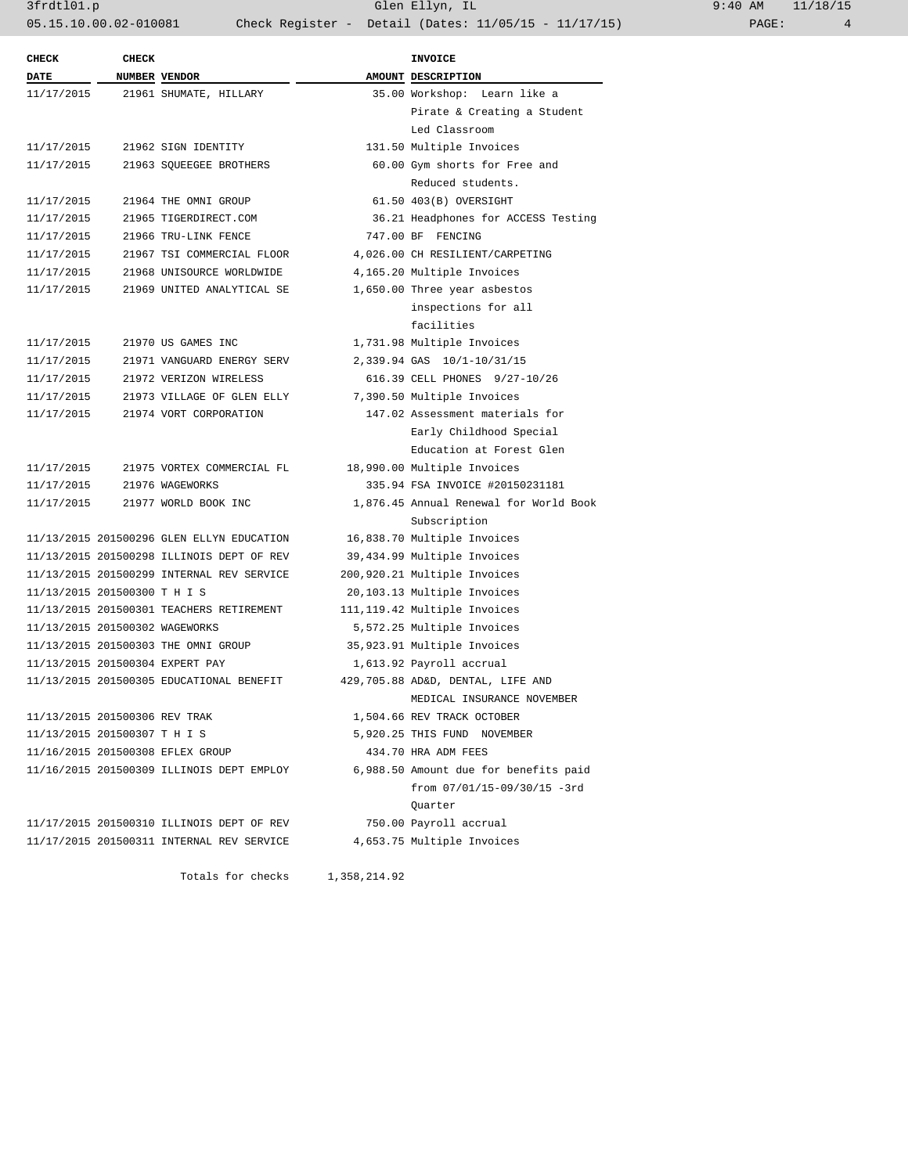3frdtl01.p Glen Ellyn, IL 9:40 AM 11/18/15 05.15.10.00.02-010081 Check Register - Detail (Dates: 11/05/15 - 11/17/15) PAGE: 4

| <b>CHECK</b>                   | <b>CHECK</b> |                                           | <b>INVOICE</b>                         |
|--------------------------------|--------------|-------------------------------------------|----------------------------------------|
| <b>DATE</b>                    |              | NUMBER VENDOR                             | AMOUNT DESCRIPTION                     |
|                                |              | 11/17/2015 21961 SHUMATE, HILLARY         | 35.00 Workshop: Learn like a           |
|                                |              |                                           | Pirate & Creating a Student            |
|                                |              |                                           | Led Classroom                          |
| 11/17/2015                     |              | 21962 SIGN IDENTITY                       | 131.50 Multiple Invoices               |
| 11/17/2015                     |              | 21963 SQUEEGEE BROTHERS                   | 60.00 Gym shorts for Free and          |
|                                |              |                                           | Reduced students.                      |
| 11/17/2015                     |              | 21964 THE OMNI GROUP                      | 61.50 403(B) OVERSIGHT                 |
| 11/17/2015                     |              | 21965 TIGERDIRECT.COM                     | 36.21 Headphones for ACCESS Testing    |
| 11/17/2015                     |              | 21966 TRU-LINK FENCE                      | 747.00 BF FENCING                      |
| 11/17/2015                     |              | 21967 TSI COMMERCIAL FLOOR                | 4,026.00 CH RESILIENT/CARPETING        |
| 11/17/2015                     |              | 21968 UNISOURCE WORLDWIDE                 | 4,165.20 Multiple Invoices             |
| 11/17/2015                     |              | 21969 UNITED ANALYTICAL SE                | 1,650.00 Three year asbestos           |
|                                |              |                                           | inspections for all                    |
|                                |              |                                           | facilities                             |
| 11/17/2015                     |              | 21970 US GAMES INC                        | 1,731.98 Multiple Invoices             |
| 11/17/2015                     |              | 21971 VANGUARD ENERGY SERV                | 2,339.94 GAS 10/1-10/31/15             |
| 11/17/2015                     |              | 21972 VERIZON WIRELESS                    | 616.39 CELL PHONES 9/27-10/26          |
| 11/17/2015                     |              | 21973 VILLAGE OF GLEN ELLY                | 7,390.50 Multiple Invoices             |
| 11/17/2015                     |              | 21974 VORT CORPORATION                    | 147.02 Assessment materials for        |
|                                |              |                                           | Early Childhood Special                |
|                                |              |                                           | Education at Forest Glen               |
| 11/17/2015                     |              | 21975 VORTEX COMMERCIAL FL                | 18,990.00 Multiple Invoices            |
| 11/17/2015                     |              | 21976 WAGEWORKS                           | 335.94 FSA INVOICE #20150231181        |
| 11/17/2015                     |              | 21977 WORLD BOOK INC                      | 1,876.45 Annual Renewal for World Book |
|                                |              |                                           | Subscription                           |
|                                |              | 11/13/2015 201500296 GLEN ELLYN EDUCATION | 16,838.70 Multiple Invoices            |
|                                |              | 11/13/2015 201500298 ILLINOIS DEPT OF REV | 39,434.99 Multiple Invoices            |
|                                |              | 11/13/2015 201500299 INTERNAL REV SERVICE | 200,920.21 Multiple Invoices           |
| 11/13/2015 201500300 T H I S   |              |                                           | 20,103.13 Multiple Invoices            |
|                                |              | 11/13/2015 201500301 TEACHERS RETIREMENT  | 111, 119.42 Multiple Invoices          |
| 11/13/2015 201500302 WAGEWORKS |              |                                           | 5,572.25 Multiple Invoices             |
|                                |              | 11/13/2015 201500303 THE OMNI GROUP       | 35,923.91 Multiple Invoices            |
|                                |              | 11/13/2015 201500304 EXPERT PAY           | 1,613.92 Payroll accrual               |
|                                |              | 11/13/2015 201500305 EDUCATIONAL BENEFIT  | 429,705.88 AD&D, DENTAL, LIFE AND      |
|                                |              |                                           | MEDICAL INSURANCE NOVEMBER             |
| 11/13/2015 201500306 REV TRAK  |              |                                           | 1,504.66 REV TRACK OCTOBER             |
| 11/13/2015 201500307 T H I S   |              |                                           | 5,920.25 THIS FUND NOVEMBER            |
|                                |              | 11/16/2015 201500308 EFLEX GROUP          | 434.70 HRA ADM FEES                    |
|                                |              | 11/16/2015 201500309 ILLINOIS DEPT EMPLOY | 6,988.50 Amount due for benefits paid  |
|                                |              |                                           | from $07/01/15 - 09/30/15 - 3rd$       |
|                                |              |                                           | Ouarter                                |
|                                |              | 11/17/2015 201500310 ILLINOIS DEPT OF REV | 750.00 Payroll accrual                 |
|                                |              | 11/17/2015 201500311 INTERNAL REV SERVICE | 4,653.75 Multiple Invoices             |

Totals for checks 1,358,214.92